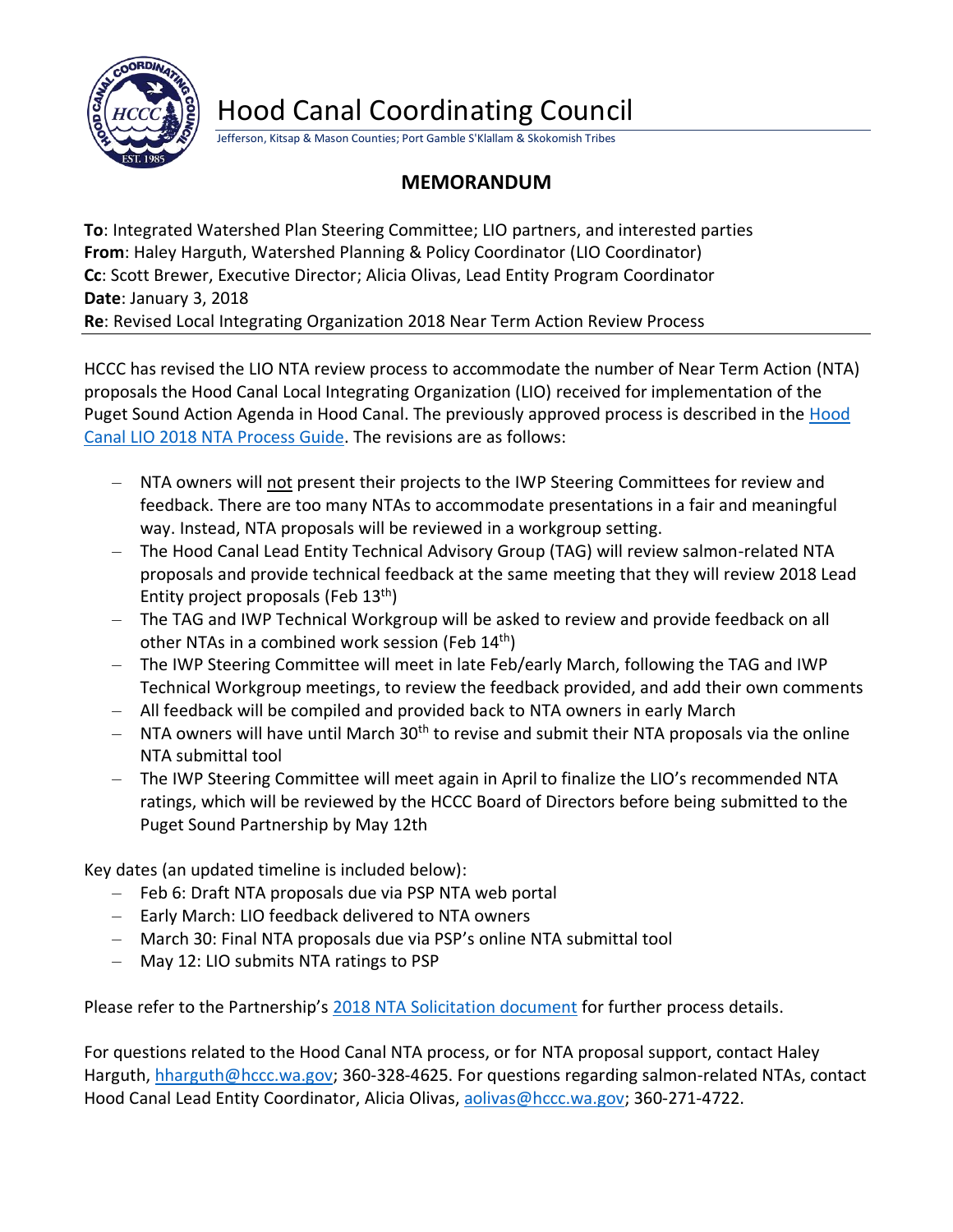

## Hood Canal Coordinating Council

Jefferson, Kitsap & Mason Counties; Port Gamble S'Klallam & Skokomish Tribes

## **MEMORANDUM**

**To**: Integrated Watershed Plan Steering Committee; LIO partners, and interested parties **From**: Haley Harguth, Watershed Planning & Policy Coordinator (LIO Coordinator) **Cc**: Scott Brewer, Executive Director; Alicia Olivas, Lead Entity Program Coordinator **Date**: January 3, 2018 **Re**: Revised Local Integrating Organization 2018 Near Term Action Review Process

HCCC has revised the LIO NTA review process to accommodate the number of Near Term Action (NTA) proposals the Hood Canal Local Integrating Organization (LIO) received for implementation of the Puget Sound Action Agenda in Hood Canal. The previously approved process is described in the [Hood](mailto:http://hccc.wa.gov/sites/default/files/resources/downloads/HCCC_Hood%2520Canal%2520LIO%25202018%2520NTA%2520Process%2520Guide_20171113.pdf)  [Canal LIO 2018 NTA Process Guide.](mailto:http://hccc.wa.gov/sites/default/files/resources/downloads/HCCC_Hood%2520Canal%2520LIO%25202018%2520NTA%2520Process%2520Guide_20171113.pdf) The revisions are as follows:

- NTA owners will not present their projects to the IWP Steering Committees for review and feedback. There are too many NTAs to accommodate presentations in a fair and meaningful way. Instead, NTA proposals will be reviewed in a workgroup setting.
- The Hood Canal Lead Entity Technical Advisory Group (TAG) will review salmon-related NTA proposals and provide technical feedback at the same meeting that they will review 2018 Lead Entity project proposals (Feb  $13<sup>th</sup>$ )
- The TAG and IWP Technical Workgroup will be asked to review and provide feedback on all other NTAs in a combined work session (Feb 14<sup>th</sup>)
- The IWP Steering Committee will meet in late Feb/early March, following the TAG and IWP Technical Workgroup meetings, to review the feedback provided, and add their own comments
- All feedback will be compiled and provided back to NTA owners in early March
- $-$  NTA owners will have until March 30<sup>th</sup> to revise and submit their NTA proposals via the online NTA submittal tool
- The IWP Steering Committee will meet again in April to finalize the LIO's recommended NTA ratings, which will be reviewed by the HCCC Board of Directors before being submitted to the Puget Sound Partnership by May 12th

Key dates (an updated timeline is included below):

- Feb 6: Draft NTA proposals due via PSP NTA web portal
- Early March: LIO feedback delivered to NTA owners
- March 30: Final NTA proposals due via PSP's online NTA submittal tool
- May 12: LIO submits NTA ratings to PSP

Please refer to the Partnership's [2018 NTA Solicitation document](mailto:http://www.psp.wa.gov/2018_AA_solicitation_for_NTAs.php) for further process details.

For questions related to the Hood Canal NTA process, or for NTA proposal support, contact Haley Harguth, [hharguth@hccc.wa.gov;](mailto:hharguth@hccc.wa.gov) 360-328-4625. For questions regarding salmon-related NTAs, contact Hood Canal Lead Entity Coordinator, Alicia Olivas, [aolivas@hccc.wa.gov;](mailto:aolivas@hccc.wa.gov) 360-271-4722.